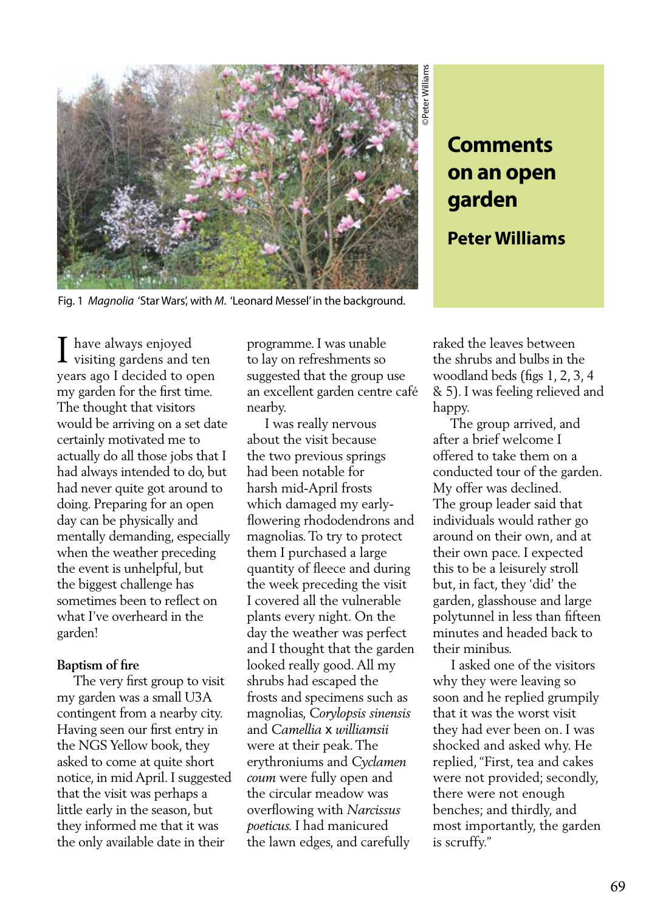

# **Comments on an open garden**

# **Peter Williams**

Fig. 1 *Magnolia* 'Star Wars', with *M*. 'Leonard Messel' in the background.

have always enjoyed  $\prod_{\text{visiting gardens and ten}}$ years ago I decided to open my garden for the first time. The thought that visitors would be arriving on a set date certainly motivated me to actually do all those jobs that I had always intended to do, but had never quite got around to doing. Preparing for an open day can be physically and mentally demanding, especially when the weather preceding the event is unhelpful, but the biggest challenge has sometimes been to reflect on what I've overheard in the garden!

# **Baptism of fire**

 The very first group to visit my garden was a small U3A contingent from a nearby city. Having seen our first entry in the NGS Yellow book, they asked to come at quite short notice, in mid April. I suggested that the visit was perhaps a little early in the season, but they informed me that it was the only available date in their

programme. I was unable to lay on refreshments so suggested that the group use an excellent garden centre café nearby.

 I was really nervous about the visit because the two previous springs had been notable for harsh mid-April frosts which damaged my earlyflowering rhododendrons and magnolias. To try to protect them I purchased a large quantity of fleece and during the week preceding the visit I covered all the vulnerable plants every night. On the day the weather was perfect and I thought that the garden looked really good. All my shrubs had escaped the frosts and specimens such as magnolias, *Corylopsis sinensis* and *Camellia* x *williamsii*  were at their peak. The erythroniums and *Cyclamen coum* were fully open and the circular meadow was overflowing with *Narcissus poeticus.* I had manicured the lawn edges, and carefully

raked the leaves between the shrubs and bulbs in the woodland beds (figs 1, 2, 3, 4 & 5). I was feeling relieved and happy.

 The group arrived, and after a brief welcome I offered to take them on a conducted tour of the garden. My offer was declined. The group leader said that individuals would rather go around on their own, and at their own pace. I expected this to be a leisurely stroll but, in fact, they 'did' the garden, glasshouse and large polytunnel in less than fifteen minutes and headed back to their minibus.

 I asked one of the visitors why they were leaving so soon and he replied grumpily that it was the worst visit they had ever been on. I was shocked and asked why. He replied, "First, tea and cakes were not provided; secondly, there were not enough benches; and thirdly, and most importantly, the garden is scruffy."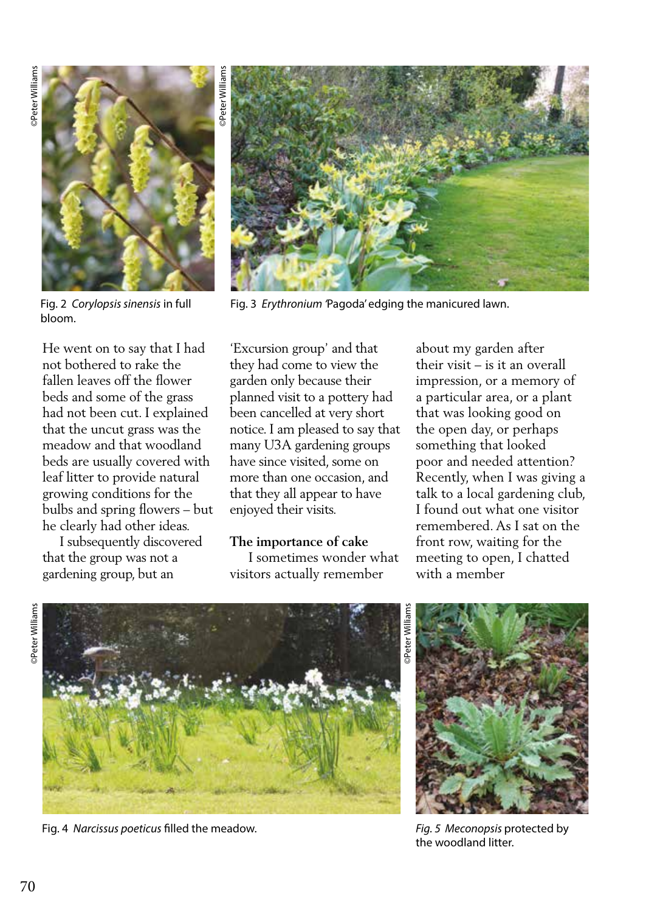

bloom.

He went on to say that I had not bothered to rake the fallen leaves off the flower beds and some of the grass had not been cut. I explained that the uncut grass was the meadow and that woodland beds are usually covered with leaf litter to provide natural growing conditions for the bulbs and spring flowers – but he clearly had other ideas.

 I subsequently discovered that the group was not a gardening group, but an



Fig. 2 *Corylopsis sinensis* in full Fig. 3 *Erythronium* 'Pagoda' edging the manicured lawn.

'Excursion group' and that they had come to view the garden only because their planned visit to a pottery had been cancelled at very short notice. I am pleased to say that many U3A gardening groups have since visited, some on more than one occasion, and that they all appear to have enjoyed their visits.

#### **The importance of cake**

 I sometimes wonder what visitors actually remember

about my garden after their visit – is it an overall impression, or a memory of a particular area, or a plant that was looking good on the open day, or perhaps something that looked poor and needed attention? Recently, when I was giving a talk to a local gardening club, I found out what one visitor remembered. As I sat on the front row, waiting for the meeting to open, I chatted with a member





Fig. 4 *Narcissus poeticus* filled the meadow.



*Fig. 5 Meconopsis* protected by the woodland litter.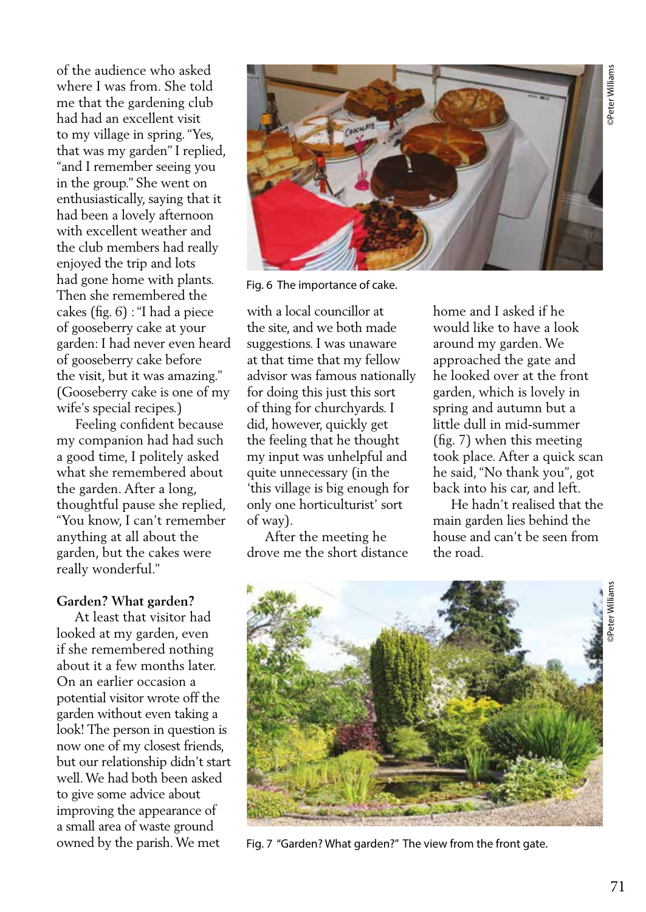of the audience who asked where I was from. She told me that the gardening club had had an excellent visit to my village in spring. "Yes, that was my garden" I replied, "and I remember seeing you in the group." She went on enthusiastically, saying that it had been a lovely afternoon with excellent weather and the club members had really enjoyed the trip and lots had gone home with plants. Then she remembered the cakes (fig. 6) : "I had a piece of gooseberry cake at your garden: I had never even heard of gooseberry cake before the visit, but it was amazing." (Gooseberry cake is one of my wife's special recipes.)

 Feeling confident because my companion had had such a good time, I politely asked what she remembered about the garden. After a long, thoughtful pause she replied, "You know, I can't remember anything at all about the garden, but the cakes were really wonderful."

#### **Garden? What garden?**

 At least that visitor had looked at my garden, even if she remembered nothing about it a few months later. On an earlier occasion a potential visitor wrote off the garden without even taking a look! The person in question is now one of my closest friends, but our relationship didn't start well. We had both been asked to give some advice about improving the appearance of a small area of waste ground owned by the parish. We met



Fig. 6 The importance of cake.

with a local councillor at the site, and we both made suggestions. I was unaware at that time that my fellow advisor was famous nationally for doing this just this sort of thing for churchyards. I did, however, quickly get the feeling that he thought my input was unhelpful and quite unnecessary (in the 'this village is big enough for only one horticulturist' sort of way).

 After the meeting he drove me the short distance home and I asked if he would like to have a look around my garden. We approached the gate and he looked over at the front garden, which is lovely in spring and autumn but a little dull in mid-summer (fig. 7) when this meeting took place. After a quick scan he said, "No thank you", got back into his car, and left.

 He hadn't realised that the main garden lies behind the house and can't be seen from the road.



Fig. 7 "Garden? What garden?" The view from the front gate.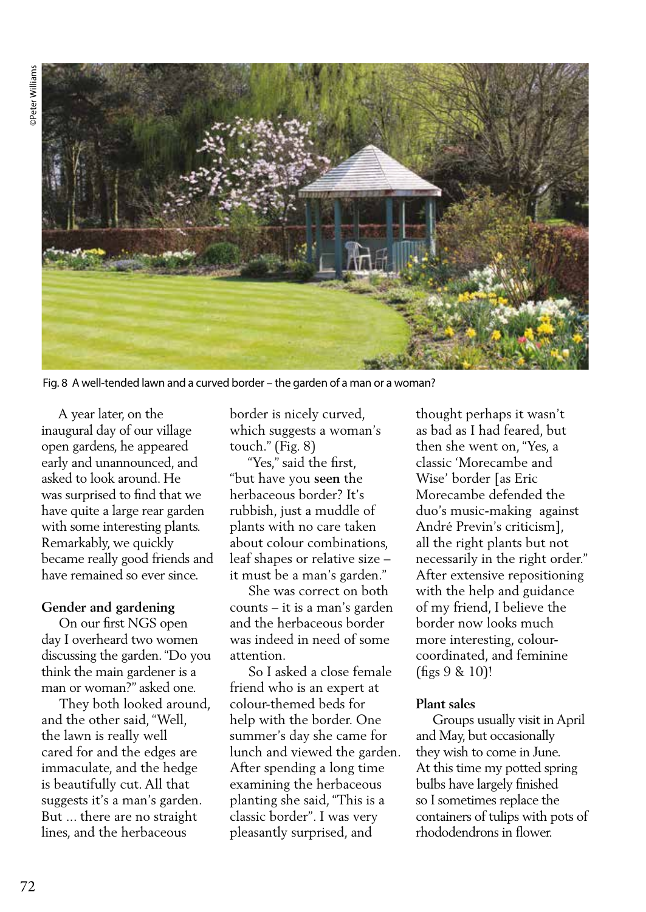

Fig. 8 A well-tended lawn and a curved border – the garden of a man or a woman?

 A year later, on the inaugural day of our village open gardens, he appeared early and unannounced, and asked to look around. He was surprised to find that we have quite a large rear garden with some interesting plants. Remarkably, we quickly became really good friends and have remained so ever since.

#### **Gender and gardening**

 On our first NGS open day I overheard two women discussing the garden. "Do you think the main gardener is a man or woman?" asked one.

 They both looked around, and the other said, "Well, the lawn is really well cared for and the edges are immaculate, and the hedge is beautifully cut. All that suggests it's a man's garden. But ... there are no straight lines, and the herbaceous

border is nicely curved, which suggests a woman's touch." (Fig. 8)

 "Yes," said the first, "but have you **seen** the herbaceous border? It's rubbish, just a muddle of plants with no care taken about colour combinations, leaf shapes or relative size – it must be a man's garden."

 She was correct on both counts – it is a man's garden and the herbaceous border was indeed in need of some attention.

 So I asked a close female friend who is an expert at colour-themed beds for help with the border. One summer's day she came for lunch and viewed the garden. After spending a long time examining the herbaceous planting she said, "This is a classic border". I was very pleasantly surprised, and

thought perhaps it wasn't as bad as I had feared, but then she went on, "Yes, a classic 'Morecambe and Wise' border [as Eric Morecambe defended the duo's music-making against André Previn's criticism], all the right plants but not necessarily in the right order." After extensive repositioning with the help and guidance of my friend, I believe the border now looks much more interesting, colourcoordinated, and feminine (figs 9 & 10)!

#### **Plant sales**

 Groups usually visit in April and May, but occasionally they wish to come in June. At this time my potted spring bulbs have largely finished so I sometimes replace the containers of tulips with pots of rhododendrons in flower.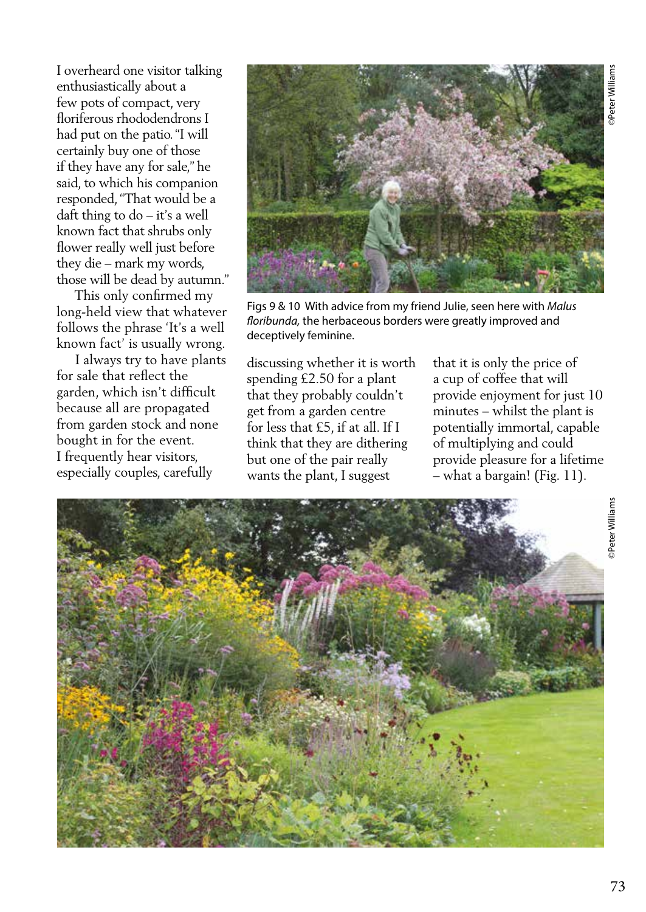I overheard one visitor talking enthusiastically about a few pots of compact, very floriferous rhododendrons I had put on the patio. "I will certainly buy one of those if they have any for sale," he said, to which his companion responded, "That would be a daft thing to do – it's a well known fact that shrubs only flower really well just before they die – mark my words, those will be dead by autumn."

 This only confirmed my long-held view that whatever follows the phrase 'It's a well known fact' is usually wrong.

 I always try to have plants for sale that reflect the garden, which isn't difficult because all are propagated from garden stock and none bought in for the event. I frequently hear visitors, especially couples, carefully



Figs 9 & 10 With advice from my friend Julie, seen here with *Malus floribunda,* the herbaceous borders were greatly improved and deceptively feminine.

discussing whether it is worth spending £2.50 for a plant that they probably couldn't get from a garden centre for less that £5, if at all. If I think that they are dithering but one of the pair really wants the plant, I suggest

that it is only the price of a cup of coffee that will provide enjoyment for just 10 minutes – whilst the plant is potentially immortal, capable of multiplying and could provide pleasure for a lifetime – what a bargain! (Fig. 11).

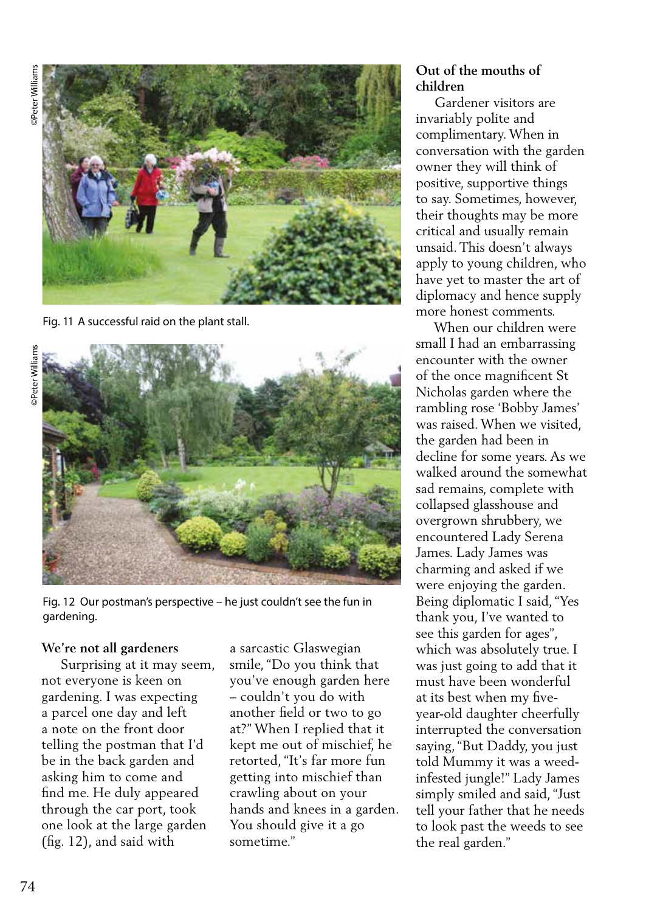©Peter Williams ©Peter Williams **Peter Williams** 



Fig. 11 A successful raid on the plant stall.



Fig. 12 Our postman's perspective – he just couldn't see the fun in gardening.

### **We're not all gardeners**

 Surprising at it may seem, not everyone is keen on gardening. I was expecting a parcel one day and left a note on the front door telling the postman that I'd be in the back garden and asking him to come and find me. He duly appeared through the car port, took one look at the large garden (fig. 12), and said with

a sarcastic Glaswegian smile, "Do you think that you've enough garden here – couldn't you do with another field or two to go at?" When I replied that it kept me out of mischief, he retorted, "It's far more fun getting into mischief than crawling about on your hands and knees in a garden. You should give it a go sometime."

# **Out of the mouths of children**

 Gardener visitors are invariably polite and complimentary. When in conversation with the garden owner they will think of positive, supportive things to say. Sometimes, however, their thoughts may be more critical and usually remain unsaid. This doesn't always apply to young children, who have yet to master the art of diplomacy and hence supply more honest comments.

 When our children were small I had an embarrassing encounter with the owner of the once magnificent St Nicholas garden where the rambling rose 'Bobby James' was raised. When we visited, the garden had been in decline for some years. As we walked around the somewhat sad remains, complete with collapsed glasshouse and overgrown shrubbery, we encountered Lady Serena James. Lady James was charming and asked if we were enjoying the garden. Being diplomatic I said, "Yes thank you, I've wanted to see this garden for ages", which was absolutely true. I was just going to add that it must have been wonderful at its best when my fiveyear-old daughter cheerfully interrupted the conversation saying, "But Daddy, you just told Mummy it was a weedinfested jungle!" Lady James simply smiled and said, "Just tell your father that he needs to look past the weeds to see the real garden."